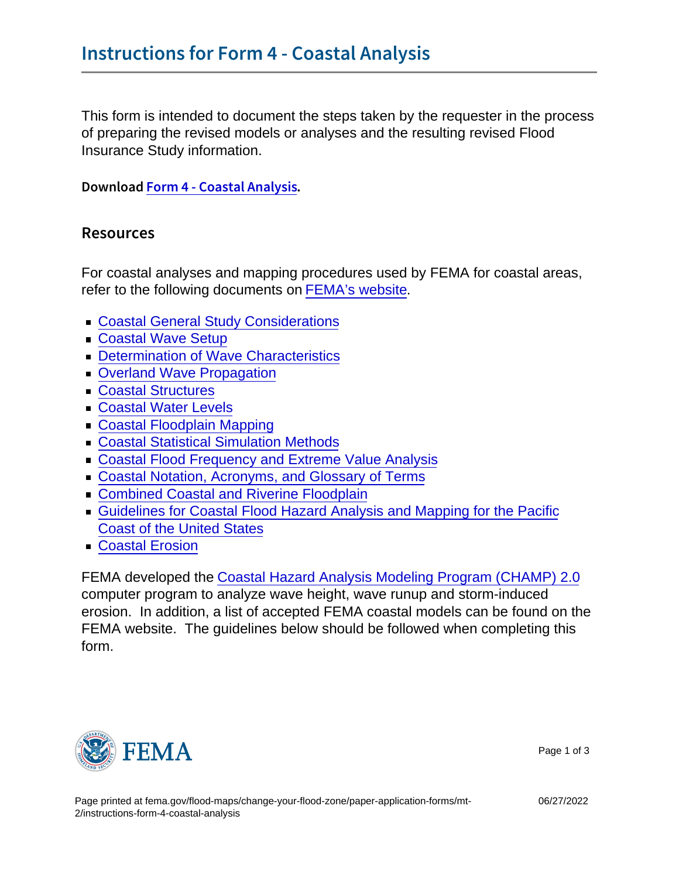This form is intended to document the steps taken by the requester in the process of preparing the revised models or analyses and the resulting revised Flood Insurance Study information.

DownloFacorm 4 - Coastal Analysis

#### Resources

For coastal analyses and mapping procedures used by FEMA for coastal areas, refer to the following documents on [FEMA's website.](https://www.fema.gov/media-collection/guidance-femas-risk-mapping-assessment-and-planning)

- **[Coastal General Study Considerations](https://www.fema.gov/sites/default/files/2020-02/Coastal_General_Study_Considerations_Guidance_Nov_2019.pdf)**
- [Coastal Wave Setup](https://www.fema.gov/sites/default/files/2020-02/Coastal_Wave_Setup_Guidance_Nov_2015.pdf)
- **[Determination of Wave Characteristics](https://www.fema.gov/sites/default/files/2020-02/Determination_Of_Wave_Characteristics_Guidance_Feb_2019.pdf)**
- **[Overland Wave Propagation](https://www.fema.gov/sites/default/files/2020-02/Coastal_Overland_Wave_Propagation_Guidance_Nov_2015.pdf)**
- **[Coastal Structures](https://www.fema.gov/sites/default/files/2020-02/Coastal_Structures_Guidance_Nov_2019.pdf)**
- [Coastal Water Levels](https://www.fema.gov/sites/default/files/2020-02/Coastal_Water_Levels_Guidance_May_2016.pdf)
- **[Coastal Floodplain Mapping](https://www.fema.gov/sites/default/files/documents/Coastal_Floodplain_Mapping_Guidance_Nov_2019.pdf)**
- **[Coastal Statistical Simulation Methods](https://www.fema.gov/sites/default/files/documents/fema_coastal-statistical-simulation-methods_nov-2016.pdf)**
- **[Coastal Flood Frequency and Extreme Value Analysis](https://www.fema.gov/sites/default/files/2020-02/Coastal_Flood_Frequency_and_Extreme_Value_Analysis_Guidance_Nov_2016.pdf)**
- [Coastal Notation, Acronyms, and Glossary of Terms](https://www.fema.gov/sites/default/files/2020-02/Coastal_Notation_Acronyms_Glossary_May_2016.pdf)
- **[Combined Coastal and Riverine Floodplain](https://www.fema.gov/sites/default/files/documents/coastal_riverine_guidance_dec_2020.pdf)**
- [Guidelines for Coastal Flood Hazard Analysis and Mapping for the Pacific](https://www.fema.gov/sites/default/files/2020-03/frm_psum.pdf) [Coast of the United States](https://www.fema.gov/sites/default/files/2020-03/frm_psum.pdf)
- [Coastal Erosion](https://www.fema.gov/sites/default/files/2020-02/Coastal_Erosion_Guidance_Feb_2018.pdf)

FEMA developed the [Coastal Hazard Analysis Modeling Program \(CHAMP\) 2.0](https://www.fema.gov/flood-maps/software) computer program to analyze wave height, wave runup and storm-induced erosion. In addition, a list of accepted FEMA coastal models can be found on the FEMA website. The guidelines below should be followed when completing this form.



Page 1 of 3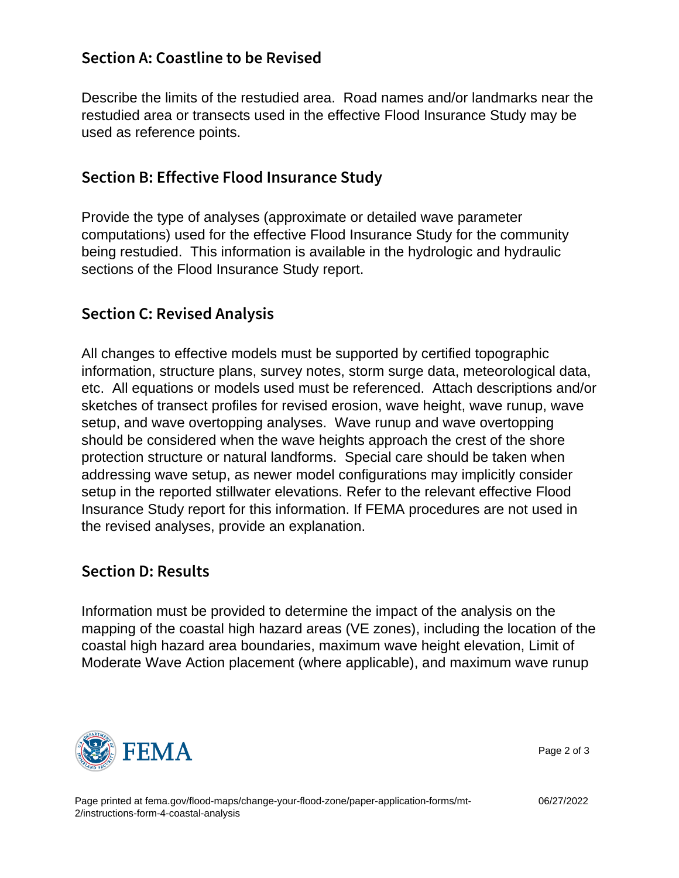# Section A: Coastline to be Revised

Describe the limits of the restudied area. Road names and/or landmarks near the restudied area or transects used in the effective Flood Insurance Study may be used as reference points.

## Section B: Effective Flood Insurance Study

Provide the type of analyses (approximate or detailed wave parameter computations) used for the effective Flood Insurance Study for the community being restudied. This information is available in the hydrologic and hydraulic sections of the Flood Insurance Study report.

### Section C: Revised Analysis

All changes to effective models must be supported by certified topographic information, structure plans, survey notes, storm surge data, meteorological data, etc. All equations or models used must be referenced. Attach descriptions and/or sketches of transect profiles for revised erosion, wave height, wave runup, wave setup, and wave overtopping analyses. Wave runup and wave overtopping should be considered when the wave heights approach the crest of the shore protection structure or natural landforms. Special care should be taken when addressing wave setup, as newer model configurations may implicitly consider setup in the reported stillwater elevations. Refer to the relevant effective Flood Insurance Study report for this information. If FEMA procedures are not used in the revised analyses, provide an explanation.

### Section D: Results

Information must be provided to determine the impact of the analysis on the mapping of the coastal high hazard areas (VE zones), including the location of the coastal high hazard area boundaries, maximum wave height elevation, Limit of Moderate Wave Action placement (where applicable), and maximum wave runup



Page 2 of 3